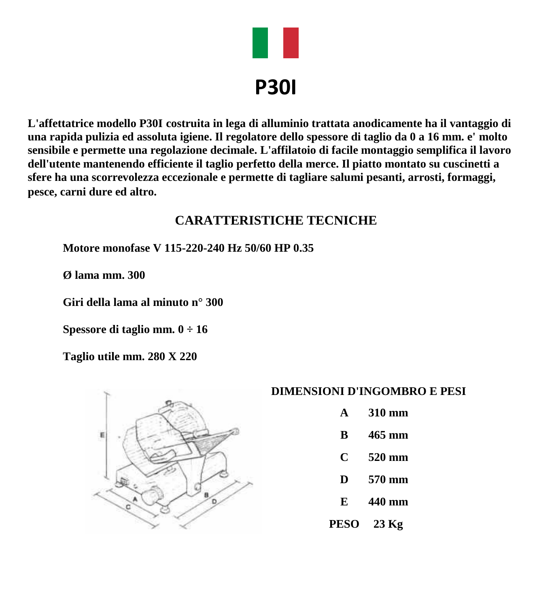

**L'affettatrice modello P30I costruita in lega di alluminio trattata anodicamente ha il vantaggio di una rapida pulizia ed assoluta igiene. Il regolatore dello spessore di taglio da 0 a 16 mm. e' molto sensibile e permette una regolazione decimale. L'affilatoio di facile montaggio semplifica il lavoro dell'utente mantenendo efficiente il taglio perfetto della merce. Il piatto montato su cuscinetti a sfere ha una scorrevolezza eccezionale e permette di tagliare salumi pesanti, arrosti, formaggi, pesce, carni dure ed altro.**

## **CARATTERISTICHE TECNICHE**

**Motore monofase V 115-220-240 Hz 50/60 HP 0.35**

**Ø lama mm. 300**

**Giri della lama al minuto n° 300**

**Spessore di taglio mm. 0 ÷ 16**

**Taglio utile mm. 280 X 220**



#### **DIMENSIONI D'INGOMBRO E PESI**

- **A 310 mm**
- **B 465 mm**
- **C 520 mm**
- **D 570 mm**
- **E 440 mm**
- **PESO 23 Kg**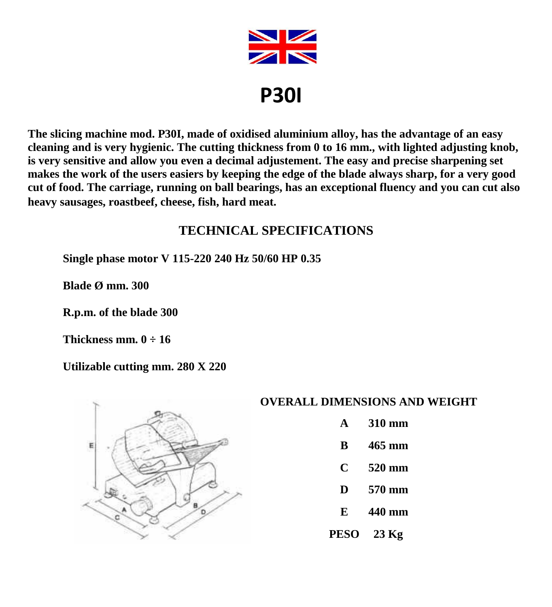

**The slicing machine mod. P30I, made of oxidised aluminium alloy, has the advantage of an easy cleaning and is very hygienic. The cutting thickness from 0 to 16 mm., with lighted adjusting knob, is very sensitive and allow you even a decimal adjustement. The easy and precise sharpening set makes the work of the users easiers by keeping the edge of the blade always sharp, for a very good cut of food. The carriage, running on ball bearings, has an exceptional fluency and you can cut also heavy sausages, roastbeef, cheese, fish, hard meat.**

## **TECHNICAL SPECIFICATIONS**

**Single phase motor V 115-220 240 Hz 50/60 HP 0.35**

**Blade Ø mm. 300**

**R.p.m. of the blade 300**

**Thickness mm. 0 ÷ 16**

**Utilizable cutting mm. 280 X 220**



#### **OVERALL DIMENSIONS AND WEIGHT**

- **A 310 mm**
- **B 465 mm**
- **C 520 mm**
- **D 570 mm**
- **E 440 mm**
- **PESO 23 Kg**